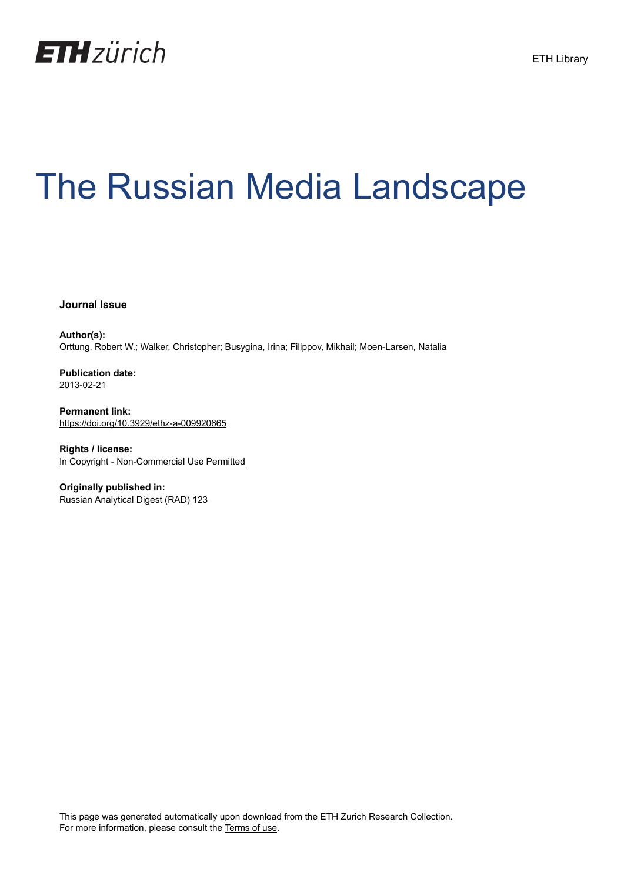

# The Russian Media Landscape

**Journal Issue**

**Author(s):** Orttung, Robert W.; Walker, Christopher; Busygina, Irina; Filippov, Mikhail; Moen-Larsen, Natalia

**Publication date:** 2013-02-21

**Permanent link:** <https://doi.org/10.3929/ethz-a-009920665>

**Rights / license:** [In Copyright - Non-Commercial Use Permitted](http://rightsstatements.org/page/InC-NC/1.0/)

**Originally published in:** Russian Analytical Digest (RAD) 123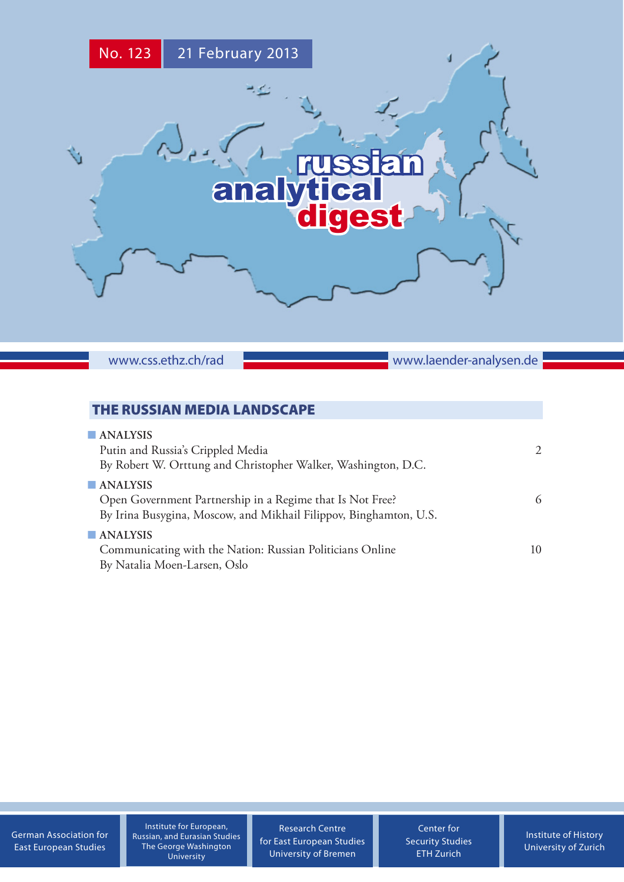

www.css.ethz.ch/rad **www.laender-analysen.de** 

# THE RUSSIAN MEDIA LANDSCAPE

| $\n  ANALYSIS\n$                                                  |                       |
|-------------------------------------------------------------------|-----------------------|
| Putin and Russia's Crippled Media                                 | $\mathcal{D}_{\cdot}$ |
| By Robert W. Orttung and Christopher Walker, Washington, D.C.     |                       |
| $\blacksquare$ ANALYSIS                                           |                       |
| Open Government Partnership in a Regime that Is Not Free?         | 6                     |
| By Irina Busygina, Moscow, and Mikhail Filippov, Binghamton, U.S. |                       |
| $\blacksquare$ ANALYSIS                                           |                       |
| Communicating with the Nation: Russian Politicians Online         | 10                    |
| By Natalia Moen-Larsen, Oslo                                      |                       |

[German Association for](http://www.dgo-online.org/) [East European Studies](http://www.dgo-online.org/)

Institute for European, Russian, and Eurasian Studies The George Washington University

[Research Centre](http://www.forschungsstelle.uni-bremen.de/) [for East European Studies](http://www.forschungsstelle.uni-bremen.de/) [University of Bremen](http://www.forschungsstelle.uni-bremen.de/)

[Center for](http://www.css.ethz.ch/) [Security Studies](http://www.css.ethz.ch/) [ETH Zurich](http://www.css.ethz.ch/)

[Institute of History](http://histsem.unibas.ch/bereiche/osteuro paeische-geschichte/) [University of](http://histsem.unibas.ch/bereiche/osteuro paeische-geschichte/) Zurich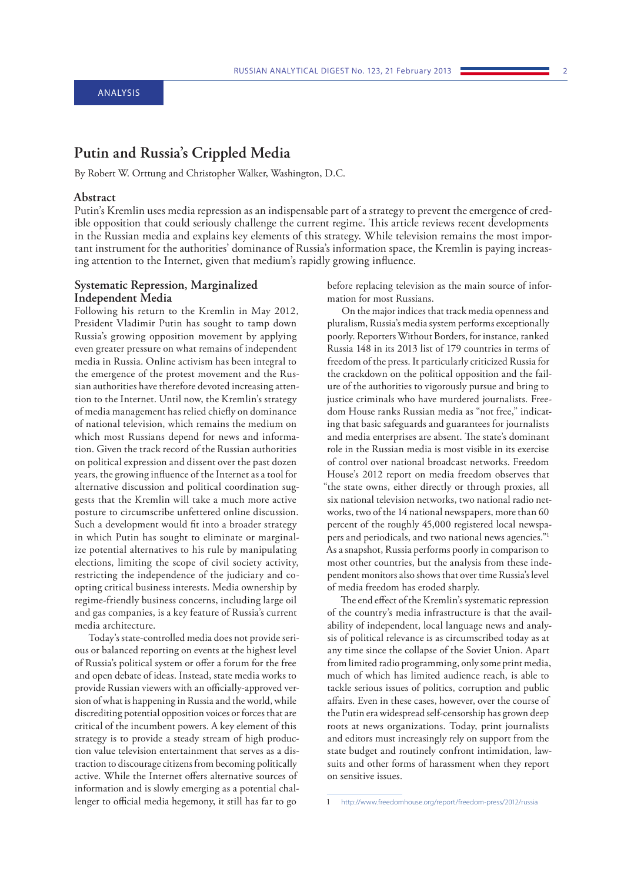# <span id="page-2-0"></span>**Putin and Russia's Crippled Media**

By Robert W. Orttung and Christopher Walker, Washington, D.C.

#### **Abstract**

Putin's Kremlin uses media repression as an indispensable part of a strategy to prevent the emergence of credible opposition that could seriously challenge the current regime. This article reviews recent developments in the Russian media and explains key elements of this strategy. While television remains the most important instrument for the authorities' dominance of Russia's information space, the Kremlin is paying increasing attention to the Internet, given that medium's rapidly growing influence.

### **Systematic Repression, Marginalized Independent Media**

Following his return to the Kremlin in May 2012, President Vladimir Putin has sought to tamp down Russia's growing opposition movement by applying even greater pressure on what remains of independent media in Russia. Online activism has been integral to the emergence of the protest movement and the Russian authorities have therefore devoted increasing attention to the Internet. Until now, the Kremlin's strategy of media management has relied chiefly on dominance of national television, which remains the medium on which most Russians depend for news and information. Given the track record of the Russian authorities on political expression and dissent over the past dozen years, the growing influence of the Internet as a tool for alternative discussion and political coordination suggests that the Kremlin will take a much more active posture to circumscribe unfettered online discussion. Such a development would fit into a broader strategy in which Putin has sought to eliminate or marginalize potential alternatives to his rule by manipulating elections, limiting the scope of civil society activity, restricting the independence of the judiciary and coopting critical business interests. Media ownership by regime-friendly business concerns, including large oil and gas companies, is a key feature of Russia's current media architecture.

Today's state-controlled media does not provide serious or balanced reporting on events at the highest level of Russia's political system or offer a forum for the free and open debate of ideas. Instead, state media works to provide Russian viewers with an officially-approved version of what is happening in Russia and the world, while discrediting potential opposition voices or forces that are critical of the incumbent powers. A key element of this strategy is to provide a steady stream of high production value television entertainment that serves as a distraction to discourage citizens from becoming politically active. While the Internet offers alternative sources of information and is slowly emerging as a potential challenger to official media hegemony, it still has far to go

before replacing television as the main source of information for most Russians.

On the major indices that track media openness and pluralism, Russia's media system performs exceptionally poorly. Reporters Without Borders, for instance, ranked Russia 148 in its 2013 list of 179 countries in terms of freedom of the press. It particularly criticized Russia for the crackdown on the political opposition and the failure of the authorities to vigorously pursue and bring to justice criminals who have murdered journalists. Freedom House ranks Russian media as "not free," indicating that basic safeguards and guarantees for journalists and media enterprises are absent. The state's dominant role in the Russian media is most visible in its exercise of control over national broadcast networks. Freedom House's 2012 report on media freedom observes that "the state owns, either directly or through proxies, all six national television networks, two national radio networks, two of the 14 national newspapers, more than 60 percent of the roughly 45,000 registered local newspapers and periodicals, and two national news agencies."1 As a snapshot, Russia performs poorly in comparison to most other countries, but the analysis from these independent monitors also shows that over time Russia's level of media freedom has eroded sharply.

The end effect of the Kremlin's systematic repression of the country's media infrastructure is that the availability of independent, local language news and analysis of political relevance is as circumscribed today as at any time since the collapse of the Soviet Union. Apart from limited radio programming, only some print media, much of which has limited audience reach, is able to tackle serious issues of politics, corruption and public affairs. Even in these cases, however, over the course of the Putin era widespread self-censorship has grown deep roots at news organizations. Today, print journalists and editors must increasingly rely on support from the state budget and routinely confront intimidation, lawsuits and other forms of harassment when they report on sensitive issues.

<sup>1</sup> <http://www.freedomhouse.org/report/freedom-press/2012/russia>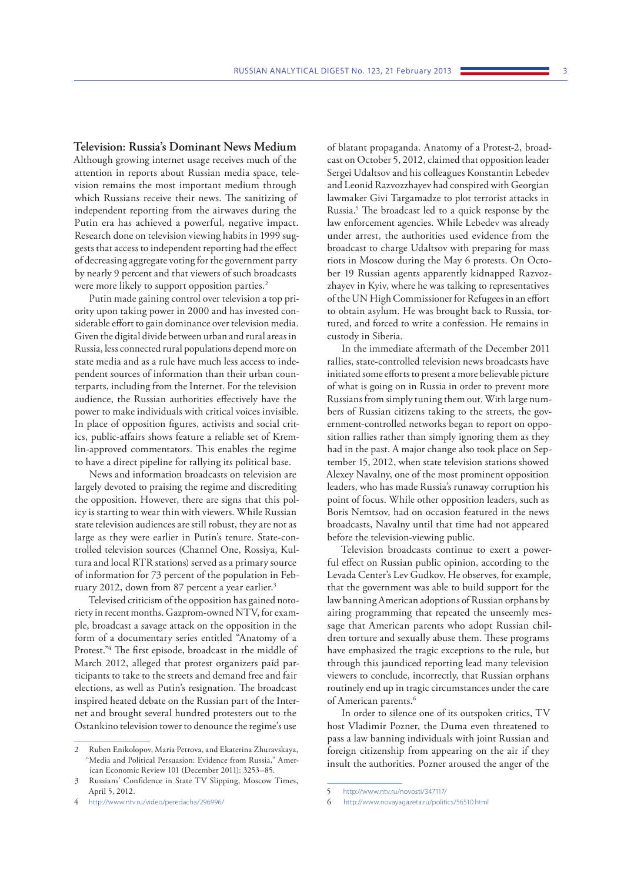**Television: Russia's Dominant News Medium** Although growing internet usage receives much of the attention in reports about Russian media space, television remains the most important medium through which Russians receive their news. The sanitizing of independent reporting from the airwaves during the Putin era has achieved a powerful, negative impact. Research done on television viewing habits in 1999 suggests that access to independent reporting had the effect of decreasing aggregate voting for the government party by nearly 9 percent and that viewers of such broadcasts were more likely to support opposition parties.<sup>2</sup>

Putin made gaining control over television a top priority upon taking power in 2000 and has invested considerable effort to gain dominance over television media. Given the digital divide between urban and rural areas in Russia, less connected rural populations depend more on state media and as a rule have much less access to independent sources of information than their urban counterparts, including from the Internet. For the television audience, the Russian authorities effectively have the power to make individuals with critical voices invisible. In place of opposition figures, activists and social critics, public-affairs shows feature a reliable set of Kremlin-approved commentators. This enables the regime to have a direct pipeline for rallying its political base.

News and information broadcasts on television are largely devoted to praising the regime and discrediting the opposition. However, there are signs that this policy is starting to wear thin with viewers. While Russian state television audiences are still robust, they are not as large as they were earlier in Putin's tenure. State-controlled television sources (Channel One, Rossiya, Kultura and local RTR stations) served as a primary source of information for 73 percent of the population in February 2012, down from 87 percent a year earlier.<sup>3</sup>

Televised criticism of the opposition has gained notoriety in recent months. Gazprom-owned NTV, for example, broadcast a savage attack on the opposition in the form of a documentary series entitled "Anatomy of a Protest."<sup>4</sup> The first episode, broadcast in the middle of March 2012, alleged that protest organizers paid participants to take to the streets and demand free and fair elections, as well as Putin's resignation. The broadcast inspired heated debate on the Russian part of the Internet and brought several hundred protesters out to the Ostankino television tower to denounce the regime's use

of blatant propaganda. Anatomy of a Protest-2, broadcast on October 5, 2012, claimed that opposition leader Sergei Udaltsov and his colleagues Konstantin Lebedev and Leonid Razvozzhayev had conspired with Georgian lawmaker Givi Targamadze to plot terrorist attacks in Russia.5 The broadcast led to a quick response by the law enforcement agencies. While Lebedev was already under arrest, the authorities used evidence from the broadcast to charge Udaltsov with preparing for mass riots in Moscow during the May 6 protests. On October 19 Russian agents apparently kidnapped Razvozzhayev in Kyiv, where he was talking to representatives of the UN High Commissioner for Refugees in an effort to obtain asylum. He was brought back to Russia, tortured, and forced to write a confession. He remains in custody in Siberia.

In the immediate aftermath of the December 2011 rallies, state-controlled television news broadcasts have initiated some efforts to present a more believable picture of what is going on in Russia in order to prevent more Russians from simply tuning them out. With large numbers of Russian citizens taking to the streets, the government-controlled networks began to report on opposition rallies rather than simply ignoring them as they had in the past. A major change also took place on September 15, 2012, when state television stations showed Alexey Navalny, one of the most prominent opposition leaders, who has made Russia's runaway corruption his point of focus. While other opposition leaders, such as Boris Nemtsov, had on occasion featured in the news broadcasts, Navalny until that time had not appeared before the television-viewing public.

Television broadcasts continue to exert a powerful effect on Russian public opinion, according to the Levada Center's Lev Gudkov. He observes, for example, that the government was able to build support for the law banning American adoptions of Russian orphans by airing programming that repeated the unseemly message that American parents who adopt Russian children torture and sexually abuse them. These programs have emphasized the tragic exceptions to the rule, but through this jaundiced reporting lead many television viewers to conclude, incorrectly, that Russian orphans routinely end up in tragic circumstances under the care of American parents.<sup>6</sup>

In order to silence one of its outspoken critics, TV host Vladimir Pozner, the Duma even threatened to pass a law banning individuals with joint Russian and foreign citizenship from appearing on the air if they insult the authorities. Pozner aroused the anger of the

<sup>2</sup> Ruben Enikolopov, Maria Petrova, and Ekaterina Zhuravskaya, "Media and Political Persuasion: Evidence from Russia," American Economic Review 101 (December 2011): 3253–85.

<sup>3</sup> Russians' Confidence in State TV Slipping, Moscow Times, April 5, 2012.

<sup>4</sup> h[ttp://www.ntv.ru/video/peredacha/296996/](http://www.ntv.ru/video/peredacha/296996/)

<sup>5</sup> <http://www.ntv.ru/novosti/347117/>

<sup>6</sup> h[ttp://www.novayagazeta.ru/politics/56510.html](http://www.novayagazeta.ru/politics/56510.html)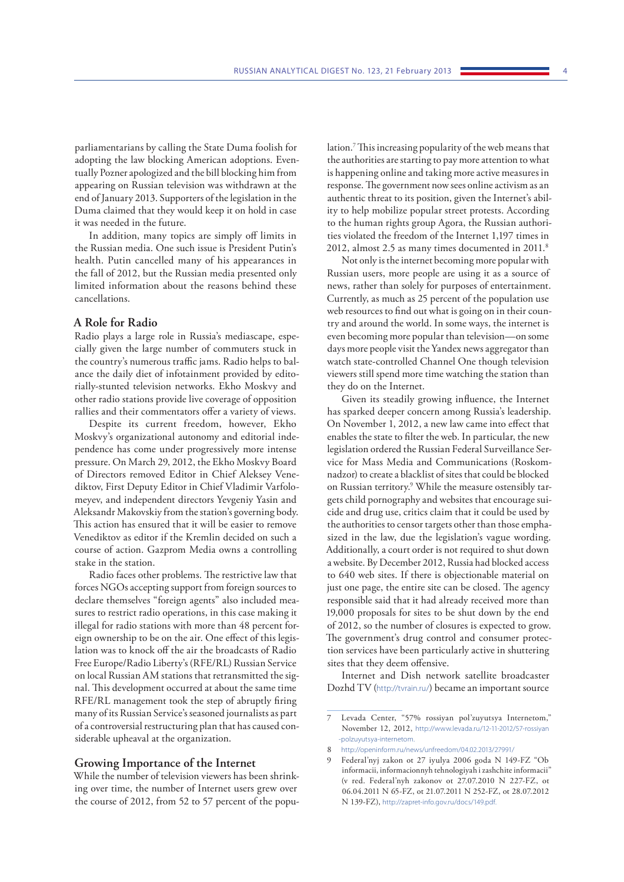parliamentarians by calling the State Duma foolish for adopting the law blocking American adoptions. Eventually Pozner apologized and the bill blocking him from appearing on Russian television was withdrawn at the end of January 2013. Supporters of the legislation in the Duma claimed that they would keep it on hold in case it was needed in the future.

In addition, many topics are simply off limits in the Russian media. One such issue is President Putin's health. Putin cancelled many of his appearances in the fall of 2012, but the Russian media presented only limited information about the reasons behind these cancellations.

#### **A Role for Radio**

Radio plays a large role in Russia's mediascape, especially given the large number of commuters stuck in the country's numerous traffic jams. Radio helps to balance the daily diet of infotainment provided by editorially-stunted television networks. Ekho Moskvy and other radio stations provide live coverage of opposition rallies and their commentators offer a variety of views.

Despite its current freedom, however, Ekho Moskvy's organizational autonomy and editorial independence has come under progressively more intense pressure. On March 29, 2012, the Ekho Moskvy Board of Directors removed Editor in Chief Aleksey Venediktov, First Deputy Editor in Chief Vladimir Varfolomeyev, and independent directors Yevgeniy Yasin and Aleksandr Makovskiy from the station's governing body. This action has ensured that it will be easier to remove Venediktov as editor if the Kremlin decided on such a course of action. Gazprom Media owns a controlling stake in the station.

Radio faces other problems. The restrictive law that forces NGOs accepting support from foreign sources to declare themselves "foreign agents" also included measures to restrict radio operations, in this case making it illegal for radio stations with more than 48 percent foreign ownership to be on the air. One effect of this legislation was to knock off the air the broadcasts of Radio Free Europe/Radio Liberty's (RFE/RL) Russian Service on local Russian AM stations that retransmitted the signal. This development occurred at about the same time RFE/RL management took the step of abruptly firing many of its Russian Service's seasoned journalists as part of a controversial restructuring plan that has caused considerable upheaval at the organization.

#### **Growing Importance of the Internet**

While the number of television viewers has been shrinking over time, the number of Internet users grew over the course of 2012, from 52 to 57 percent of the popu-

lation.7 This increasing popularity of the web means that the authorities are starting to pay more attention to what is happening online and taking more active measures in response. The government now sees online activism as an authentic threat to its position, given the Internet's ability to help mobilize popular street protests. According to the human rights group Agora, the Russian authorities violated the freedom of the Internet 1,197 times in 2012, almost 2.5 as many times documented in 2011.<sup>8</sup>

Not only is the internet becoming more popular with Russian users, more people are using it as a source of news, rather than solely for purposes of entertainment. Currently, as much as 25 percent of the population use web resources to find out what is going on in their country and around the world. In some ways, the internet is even becoming more popular than television—on some days more people visit the Yandex news aggregator than watch state-controlled Channel One though television viewers still spend more time watching the station than they do on the Internet.

Given its steadily growing influence, the Internet has sparked deeper concern among Russia's leadership. On November 1, 2012, a new law came into effect that enables the state to filter the web. In particular, the new legislation ordered the Russian Federal Surveillance Service for Mass Media and Communications (Roskomnadzor) to create a blacklist of sites that could be blocked on Russian territory.<sup>9</sup> While the measure ostensibly targets child pornography and websites that encourage suicide and drug use, critics claim that it could be used by the authorities to censor targets other than those emphasized in the law, due the legislation's vague wording. Additionally, a court order is not required to shut down a website. By December 2012, Russia had blocked access to 640 web sites. If there is objectionable material on just one page, the entire site can be closed. The agency responsible said that it had already received more than 19,000 proposals for sites to be shut down by the end of 2012, so the number of closures is expected to grow. The government's drug control and consumer protection services have been particularly active in shuttering sites that they deem offensive.

Internet and Dish network satellite broadcaster Dozhd TV (<http://tvrain.ru/>) became an important source

<sup>7</sup> Levada Center, "57% rossiyan pol'zuyutsya Internetom," November 12, 2012, [http://www.levada.ru/12-11-2012/57-rossiyan]( ) [-polzuyutsya-internetom.]( )

<sup>8</sup> http://openinform.ru/news/unfreedom/04.02.2013/27991/

<sup>9</sup> Federal'nyj zakon ot 27 iyulya 2006 goda N 149-FZ "Ob informacii, informacionnyh tehnologiyah i zashchite informacii" (v red. Federal'nyh zakonov ot 27.07.2010 N 227-FZ, ot 06.04.2011 N 65-FZ, ot 21.07.2011 N 252-FZ, ot 28.07.2012 N 139-FZ), h[ttp://zapret-info.gov.ru/docs/149.pdf.](http://zapret-info.gov.ru/docs/149.pdf)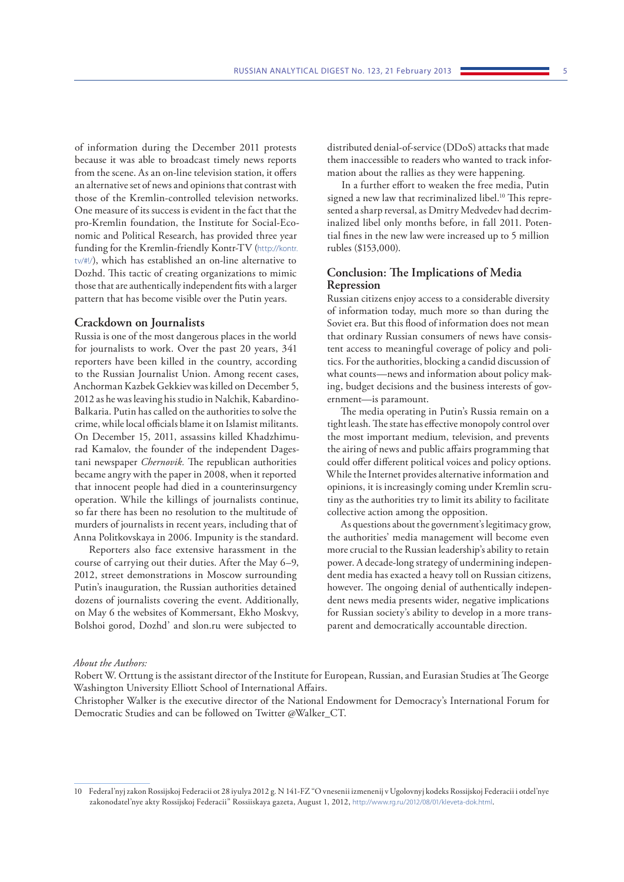of information during the December 2011 protests because it was able to broadcast timely news reports from the scene. As an on-line television station, it offers an alternative set of news and opinions that contrast with those of the Kremlin-controlled television networks. One measure of its success is evident in the fact that the pro-Kremlin foundation, the Institute for Social-Economic and Political Research, has provided three year funding for the Kremlin-friendly Kontr-TV ([http://kontr.](http://kontr.tv/#!/) [tv/#!/](http://kontr.tv/#!/)), which has established an on-line alternative to Dozhd. This tactic of creating organizations to mimic those that are authentically independent fits with a larger pattern that has become visible over the Putin years.

#### **Crackdown on Journalists**

Russia is one of the most dangerous places in the world for journalists to work. Over the past 20 years, 341 reporters have been killed in the country, according to the Russian Journalist Union. Among recent cases, Anchorman Kazbek Gekkiev was killed on December 5, 2012 as he was leaving his studio in Nalchik, Kabardino-Balkaria. Putin has called on the authorities to solve the crime, while local officials blame it on Islamist militants. On December 15, 2011, assassins killed Khadzhimurad Kamalov, the founder of the independent Dagestani newspaper *Chernovik.* The republican authorities became angry with the paper in 2008, when it reported that innocent people had died in a counterinsurgency operation. While the killings of journalists continue, so far there has been no resolution to the multitude of murders of journalists in recent years, including that of Anna Politkovskaya in 2006. Impunity is the standard.

Reporters also face extensive harassment in the course of carrying out their duties. After the May 6–9, 2012, street demonstrations in Moscow surrounding Putin's inauguration, the Russian authorities detained dozens of journalists covering the event. Additionally, on May 6 the websites of Kommersant, Ekho Moskvy, Bolshoi gorod, Dozhd' and slon.ru were subjected to

distributed denial-of-service (DDoS) attacks that made them inaccessible to readers who wanted to track information about the rallies as they were happening.

In a further effort to weaken the free media, Putin signed a new law that recriminalized libel.<sup>10</sup> This represented a sharp reversal, as Dmitry Medvedev had decriminalized libel only months before, in fall 2011. Potential fines in the new law were increased up to 5 million rubles (\$153,000).

### **Conclusion: The Implications of Media Repression**

Russian citizens enjoy access to a considerable diversity of information today, much more so than during the Soviet era. But this flood of information does not mean that ordinary Russian consumers of news have consistent access to meaningful coverage of policy and politics. For the authorities, blocking a candid discussion of what counts—news and information about policy making, budget decisions and the business interests of government—is paramount.

The media operating in Putin's Russia remain on a tight leash. The state has effective monopoly control over the most important medium, television, and prevents the airing of news and public affairs programming that could offer different political voices and policy options. While the Internet provides alternative information and opinions, it is increasingly coming under Kremlin scrutiny as the authorities try to limit its ability to facilitate collective action among the opposition.

As questions about the government's legitimacy grow, the authorities' media management will become even more crucial to the Russian leadership's ability to retain power. A decade-long strategy of undermining independent media has exacted a heavy toll on Russian citizens, however. The ongoing denial of authentically independent news media presents wider, negative implications for Russian society's ability to develop in a more transparent and democratically accountable direction.

#### *About the Authors:*

Christopher Walker is the executive director of the National Endowment for Democracy's International Forum for Democratic Studies and can be followed on Twitter @Walker\_CT.

Robert W. Orttung is the assistant director of the Institute for European, Russian, and Eurasian Studies at The George Washington University Elliott School of International Affairs.

<sup>10</sup> Federal'nyj zakon Rossijskoj Federacii ot 28 iyulya 2012 g. N 141-FZ "O vnesenii izmenenij v Ugolovnyj kodeks Rossijskoj Federacii i otdel'nye zakonodatel'nye akty Rossijskoj Federacii" Rossiiskaya gazeta, August 1, 2012, <http://www.rg.ru/2012/08/01/kleveta-dok.html>.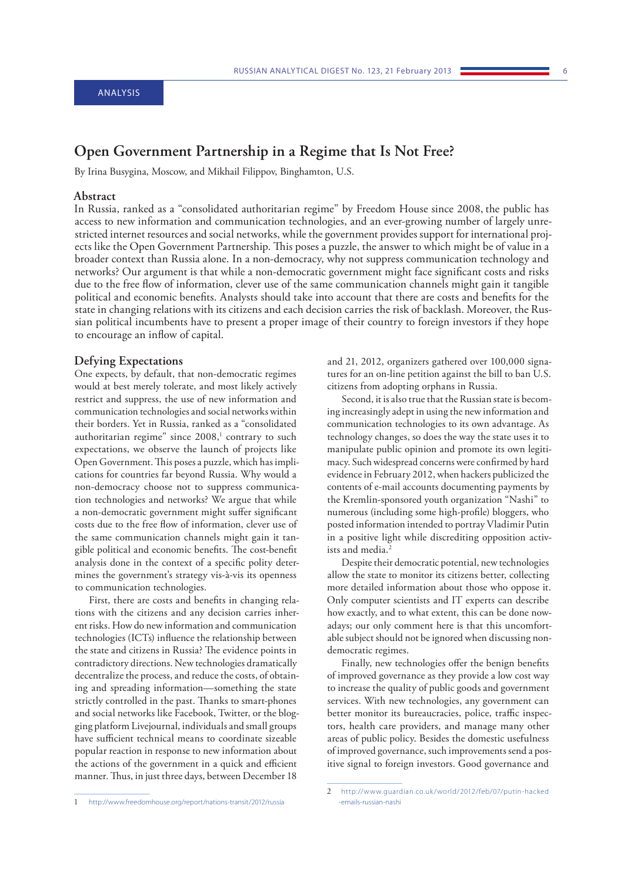## <span id="page-6-0"></span>**Open Government Partnership in a Regime that Is Not Free?**

By Irina Busygina, Moscow, and Mikhail Filippov, Binghamton, U.S.

#### **Abstract**

In Russia, ranked as a "consolidated authoritarian regime" by Freedom House since 2008, the public has access to new information and communication technologies, and an ever-growing number of largely unrestricted internet resources and social networks, while the government provides support for international projects like the Open Government Partnership. This poses a puzzle, the answer to which might be of value in a broader context than Russia alone. In a non-democracy, why not suppress communication technology and networks? Our argument is that while a non-democratic government might face significant costs and risks due to the free flow of information, clever use of the same communication channels might gain it tangible political and economic benefits. Analysts should take into account that there are costs and benefits for the state in changing relations with its citizens and each decision carries the risk of backlash. Moreover, the Russian political incumbents have to present a proper image of their country to foreign investors if they hope to encourage an inflow of capital.

#### **Defying Expectations**

One expects, by default, that non-democratic regimes would at best merely tolerate, and most likely actively restrict and suppress, the use of new information and communication technologies and social networks within their borders. Yet in Russia, ranked as a "consolidated authoritarian regime" since 2008,<sup>1</sup> contrary to such expectations, we observe the launch of projects like Open Government. This poses a puzzle, which has implications for countries far beyond Russia. Why would a non-democracy choose not to suppress communication technologies and networks? We argue that while a non-democratic government might suffer significant costs due to the free flow of information, clever use of the same communication channels might gain it tangible political and economic benefits. The cost-benefit analysis done in the context of a specific polity determines the government's strategy vis-à-vis its openness to communication technologies.

First, there are costs and benefits in changing relations with the citizens and any decision carries inherent risks. How do new information and communication technologies (ICTs) influence the relationship between the state and citizens in Russia? The evidence points in contradictory directions. New technologies dramatically decentralize the process, and reduce the costs, of obtaining and spreading information—something the state strictly controlled in the past. Thanks to smart-phones and social networks like Facebook, Twitter, or the blogging platform Livejournal, individuals and small groups have sufficient technical means to coordinate sizeable popular reaction in response to new information about the actions of the government in a quick and efficient manner. Thus, in just three days, between December 18

and 21, 2012, organizers gathered over 100,000 signatures for an on-line petition against the bill to ban U.S. citizens from adopting orphans in Russia.

Second, it is also true that the Russian state is becoming increasingly adept in using the new information and communication technologies to its own advantage. As technology changes, so does the way the state uses it to manipulate public opinion and promote its own legitimacy. Such widespread concerns were confirmed by hard evidence in February 2012, when hackers publicized the contents of e-mail accounts documenting payments by the Kremlin-sponsored youth organization "Nashi" to numerous (including some high-profile) bloggers, who posted information intended to portray Vladimir Putin in a positive light while discrediting opposition activists and media.<sup>2</sup>

Despite their democratic potential, new technologies allow the state to monitor its citizens better, collecting more detailed information about those who oppose it. Only computer scientists and IT experts can describe how exactly, and to what extent, this can be done nowadays; our only comment here is that this uncomfortable subject should not be ignored when discussing nondemocratic regimes.

Finally, new technologies offer the benign benefits of improved governance as they provide a low cost way to increase the quality of public goods and government services. With new technologies, any government can better monitor its bureaucracies, police, traffic inspectors, health care providers, and manage many other areas of public policy. Besides the domestic usefulness of improved governance, such improvements send a positive signal to foreign investors. Good governance and

<sup>1</sup> <http://www.freedomhouse.org/report/nations-transit/2012/russia>

<sup>2</sup> [ht tp://www.guardian.co.uk /world/2012/feb/07/putin-hacked](http://www.guardian.co.uk/world/2012/feb/07/putin-hacked-emails-russian-nashi)  [-emails-russian-nashi](http://www.guardian.co.uk/world/2012/feb/07/putin-hacked-emails-russian-nashi)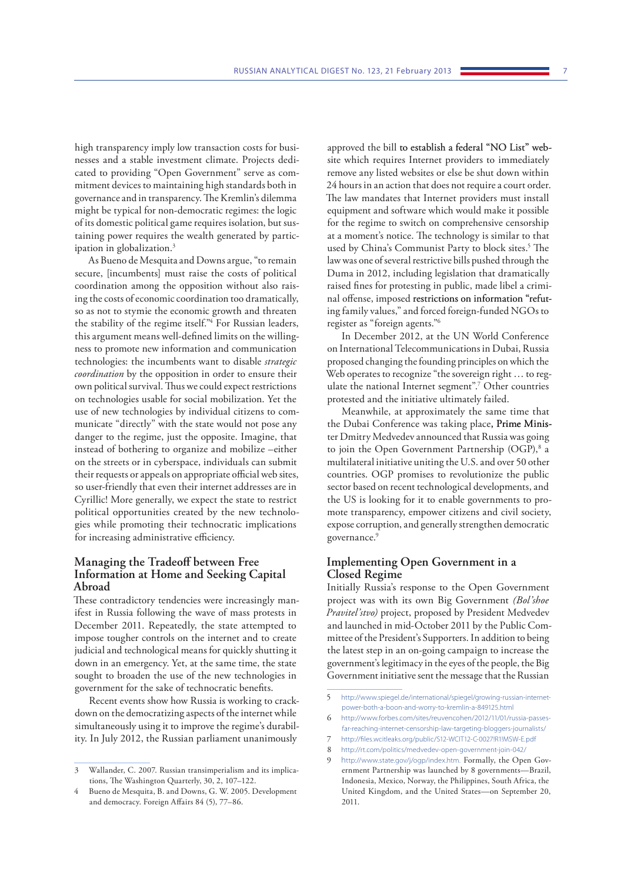high transparency imply low transaction costs for businesses and a stable investment climate. Projects dedicated to providing "Open Government" serve as commitment devices to maintaining high standards both in governance and in transparency. The Kremlin's dilemma might be typical for non-democratic regimes: the logic of its domestic political game requires isolation, but sustaining power requires the wealth generated by participation in globalization.3

As Bueno de Mesquita and Downs argue, "to remain secure, [incumbents] must raise the costs of political coordination among the opposition without also raising the costs of economic coordination too dramatically, so as not to stymie the economic growth and threaten the stability of the regime itself."4 For Russian leaders, this argument means well-defined limits on the willingness to promote new information and communication technologies: the incumbents want to disable *strategic coordination* by the opposition in order to ensure their own political survival. Thus we could expect restrictions on technologies usable for social mobilization. Yet the use of new technologies by individual citizens to communicate "directly" with the state would not pose any danger to the regime, just the opposite. Imagine, that instead of bothering to organize and mobilize –either on the streets or in cyberspace, individuals can submit their requests or appeals on appropriate official web sites, so user-friendly that even their internet addresses are in Cyrillic! More generally, we expect the state to restrict political opportunities created by the new technologies while promoting their technocratic implications for increasing administrative efficiency.

### **Managing the Tradeoff between Free Information at Home and Seeking Capital Abroad**

These contradictory tendencies were increasingly manifest in Russia following the wave of mass protests in December 2011. Repeatedly, the state attempted to impose tougher controls on the internet and to create judicial and technological means for quickly shutting it down in an emergency. Yet, at the same time, the state sought to broaden the use of the new technologies in government for the sake of technocratic benefits.

Recent events show how Russia is working to crackdown on the democratizing aspects of the internet while simultaneously using it to improve the regime's durability. In July 2012, the Russian parliament unanimously

approved the bill to establish a federal "NO List" website which requires Internet providers to immediately remove any listed websites or else be shut down within 24 hours in an action that does not require a court order. The law mandates that Internet providers must install equipment and software which would make it possible for the regime to switch on comprehensive censorship at a moment's notice. The technology is similar to that used by China's Communist Party to block sites.<sup>5</sup> The law was one of several restrictive bills pushed through the Duma in 2012, including legislation that dramatically raised fines for protesting in public, made libel a criminal offense, imposed restrictions on information "refuting family values," and forced foreign-funded NGOs to register as "foreign agents."6

In December 2012, at the UN World Conference on International Telecommunications in Dubai, Russia proposed changing the founding principles on which the Web operates to recognize "the sovereign right ... to regulate the national Internet segment".7 Other countries protested and the initiative ultimately failed.

Meanwhile, at approximately the same time that the Dubai Conference was taking place, Prime Minister Dmitry Medvedev announced that Russia was going to join the Open Government Partnership (OGP),<sup>8</sup> a multilateral initiative uniting the U.S. and over 50 other countries. OGP promises to revolutionize the public sector based on recent technological developments, and the US is looking for it to enable governments to promote transparency, empower citizens and civil society, expose corruption, and generally strengthen democratic governance.<sup>9</sup>

### **Implementing Open Government in a Closed Regime**

Initially Russia's response to the Open Government project was with its own Big Government *(Bol'shoe Pravitel'stvo)* project, proposed by President Medvedev and launched in mid-October 2011 by the Public Committee of the President's Supporters. In addition to being the latest step in an on-going campaign to increase the government's legitimacy in the eyes of the people, the Big Government initiative sent the message that the Russian

<sup>3</sup> Wallander, C. 2007. Russian transimperialism and its implications, The Washington Quarterly, 30, 2, 107–122.

Bueno de Mesquita, B. and Downs, G. W. 2005. Development and democracy. Foreign Affairs 84 (5), 77–86.

<sup>5</sup> [http://www.spiegel.de/international/spiegel/growing-russian-internet](http://www.spiegel.de/international/spiegel/growing-russian-internet-power-both-a-boon-and-worry-to-kremlin-a-849125.html)[power-both-a-boon-and-worry-to-kremlin-a-849125.html](http://www.spiegel.de/international/spiegel/growing-russian-internet-power-both-a-boon-and-worry-to-kremlin-a-849125.html)

<sup>6</sup> [http://www.forbes.com/sites/reuvencohen/2012/11/01/russia-passes](http://www.forbes.com/sites/reuvencohen/2012/11/01/russia-passes-far-reaching-internet-censorship-law-targeting-bloggers-journalists/)[far-reaching-internet-censorship-law-targeting-bloggers-journalists/](http://www.forbes.com/sites/reuvencohen/2012/11/01/russia-passes-far-reaching-internet-censorship-law-targeting-bloggers-journalists/)

<sup>7</sup> <http://files.wcitleaks.org/public/S12-WCIT12-C-0027!R1!MSW-E.pdf>

<sup>8</sup> <http://rt.com/politics/medvedev-open-government-join-042/>

[http://www.state.gov/j/ogp/index.htm.](http://www.state.gov/j/ogp/index.htm) Formally, the Open Government Partnership was launched by 8 governments—Brazil, Indonesia, Mexico, Norway, the Philippines, South Africa, the United Kingdom, and the United States—on September 20, 2011.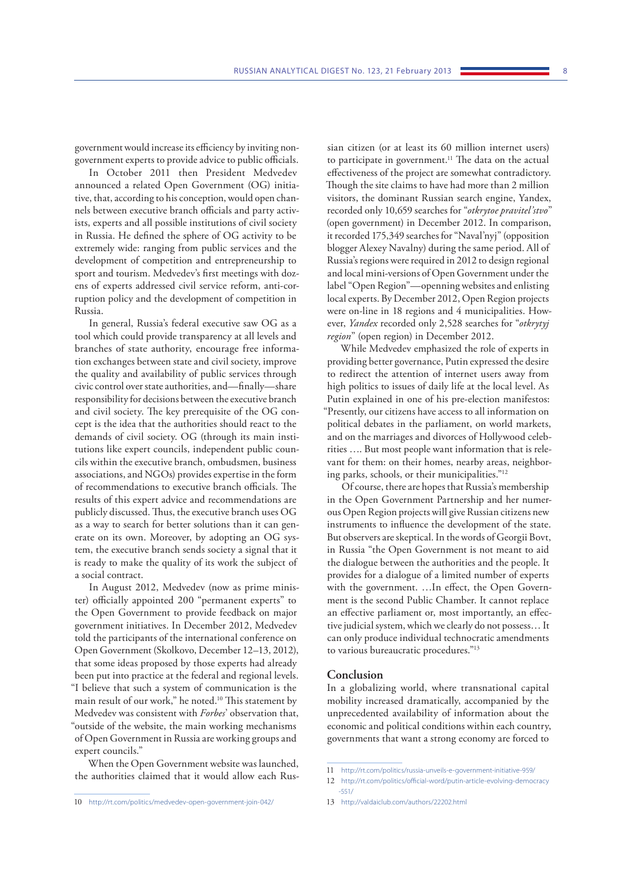government would increase its efficiency by inviting nongovernment experts to provide advice to public officials.

In October 2011 then President Medvedev announced a related Open Government (OG) initiative, that, according to his conception, would open channels between executive branch officials and party activists, experts and all possible institutions of civil society in Russia. He defined the sphere of OG activity to be extremely wide: ranging from public services and the development of competition and entrepreneurship to sport and tourism. Medvedev's first meetings with dozens of experts addressed civil service reform, anti-corruption policy and the development of competition in Russia.

In general, Russia's federal executive saw OG as a tool which could provide transparency at all levels and branches of state authority, encourage free information exchanges between state and civil society, improve the quality and availability of public services through civic control over state authorities, and—finally—share responsibility for decisions between the executive branch and civil society. The key prerequisite of the OG concept is the idea that the authorities should react to the demands of civil society. OG (through its main institutions like expert councils, independent public councils within the executive branch, ombudsmen, business associations, and NGOs) provides expertise in the form of recommendations to executive branch officials. The results of this expert advice and recommendations are publicly discussed. Thus, the executive branch uses OG as a way to search for better solutions than it can generate on its own. Moreover, by adopting an OG system, the executive branch sends society a signal that it is ready to make the quality of its work the subject of a social contract.

In August 2012, Medvedev (now as prime minister) officially appointed 200 "permanent experts" to the Open Government to provide feedback on major government initiatives. In December 2012, Medvedev told the participants of the international conference on Open Government (Skolkovo, December 12–13, 2012), that some ideas proposed by those experts had already been put into practice at the federal and regional levels. "I believe that such a system of communication is the main result of our work," he noted.10 This statement by Medvedev was consistent with *Forbes*' observation that, "outside of the website, the main working mechanisms of Open Government in Russia are working groups and expert councils."

When the Open Government website was launched, the authorities claimed that it would allow each Rus-

sian citizen (or at least its 60 million internet users) to participate in government.<sup>11</sup> The data on the actual effectiveness of the project are somewhat contradictory. Though the site claims to have had more than 2 million visitors, the dominant Russian search engine, Yandex, recorded only 10,659 searches for "*otkrytoe pravitel'stvo*" (open government) in December 2012. In comparison, it recorded 175,349 searches for "Naval'nyj" (opposition blogger Alexey Navalny) during the same period. All of Russia's regions were required in 2012 to design regional and local mini-versions of Open Government under the label "Open Region"—openning websites and enlisting local experts. By December 2012, Open Region projects were on-line in 18 regions and 4 municipalities. However, *Yandex* recorded only 2,528 searches for "*otkrytyj region*" (open region) in December 2012.

While Medvedev emphasized the role of experts in providing better governance, Putin expressed the desire to redirect the attention of internet users away from high politics to issues of daily life at the local level. As Putin explained in one of his pre-election manifestos: "Presently, our citizens have access to all information on political debates in the parliament, on world markets, and on the marriages and divorces of Hollywood celebrities …. But most people want information that is relevant for them: on their homes, nearby areas, neighboring parks, schools, or their municipalities."12

Of course, there are hopes that Russia's membership in the Open Government Partnership and her numerous Open Region projects will give Russian citizens new instruments to influence the development of the state. But observers are skeptical. In the words of Georgii Bovt, in Russia "the Open Government is not meant to aid the dialogue between the authorities and the people. It provides for a dialogue of a limited number of experts with the government. …In effect, the Open Government is the second Public Chamber. It cannot replace an effective parliament or, most importantly, an effective judicial system, which we clearly do not possess… It can only produce individual technocratic amendments to various bureaucratic procedures."13

#### **Conclusion**

In a globalizing world, where transnational capital mobility increased dramatically, accompanied by the unprecedented availability of information about the economic and political conditions within each country, governments that want a strong economy are forced to

<sup>10</sup> <http://rt.com/politics/medvedev-open-government-join-042/>

<sup>11</sup> <http://rt.com/politics/russia-unveils-e-government-initiative-959/>

<sup>12</sup> [http://rt.com/politics/official-word/putin-article-evolving-democracy](http://rt.com/politics/official-word/putin-article-evolving-democracy-551/) [-551/](http://rt.com/politics/official-word/putin-article-evolving-democracy-551/)

<sup>13</sup> <http://valdaiclub.com/authors/22202.html>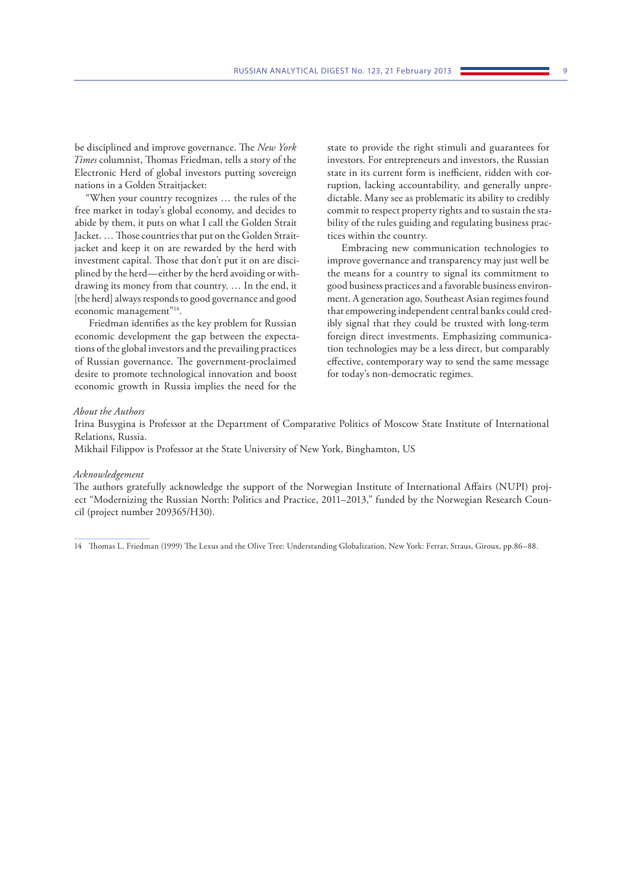be disciplined and improve governance. The *New York Times* columnist, Thomas Friedman, tells a story of the Electronic Herd of global investors putting sovereign nations in a Golden Straitjacket:

"When your country recognizes … the rules of the free market in today's global economy, and decides to abide by them, it puts on what I call the Golden Strait Jacket. … Those countries that put on the Golden Straitjacket and keep it on are rewarded by the herd with investment capital. Those that don't put it on are disciplined by the herd—either by the herd avoiding or withdrawing its money from that country. … In the end, it [the herd] always responds to good governance and good economic management"<sup>14</sup>.

Friedman identifies as the key problem for Russian economic development the gap between the expectations of the global investors and the prevailing practices of Russian governance. The government-proclaimed desire to promote technological innovation and boost economic growth in Russia implies the need for the

state to provide the right stimuli and guarantees for investors. For entrepreneurs and investors, the Russian state in its current form is inefficient, ridden with corruption, lacking accountability, and generally unpredictable. Many see as problematic its ability to credibly commit to respect property rights and to sustain the stability of the rules guiding and regulating business practices within the country.

Embracing new communication technologies to improve governance and transparency may just well be the means for a country to signal its commitment to good business practices and a favorable business environment. A generation ago, Southeast Asian regimes found that empowering independent central banks could credibly signal that they could be trusted with long-term foreign direct investments. Emphasizing communication technologies may be a less direct, but comparably effective, contemporary way to send the same message for today's non-democratic regimes.

#### *About the Authors*

Irina Busygina is Professor at the Department of Comparative Politics of Moscow State Institute of International Relations, Russia.

Mikhail Filippov is Professor at the State University of New York, Binghamton, US

#### *Acknowledgement*

The authors gratefully acknowledge the support of the Norwegian Institute of International Affairs (NUPI) project "Modernizing the Russian North: Politics and Practice, 2011–2013," funded by the Norwegian Research Council (project number 209365/H30).

14 Thomas L. Friedman (1999) The Lexus and the Olive Tree: Understanding Globalization, New York: Ferrar, Straus, Giroux, pp.86–88.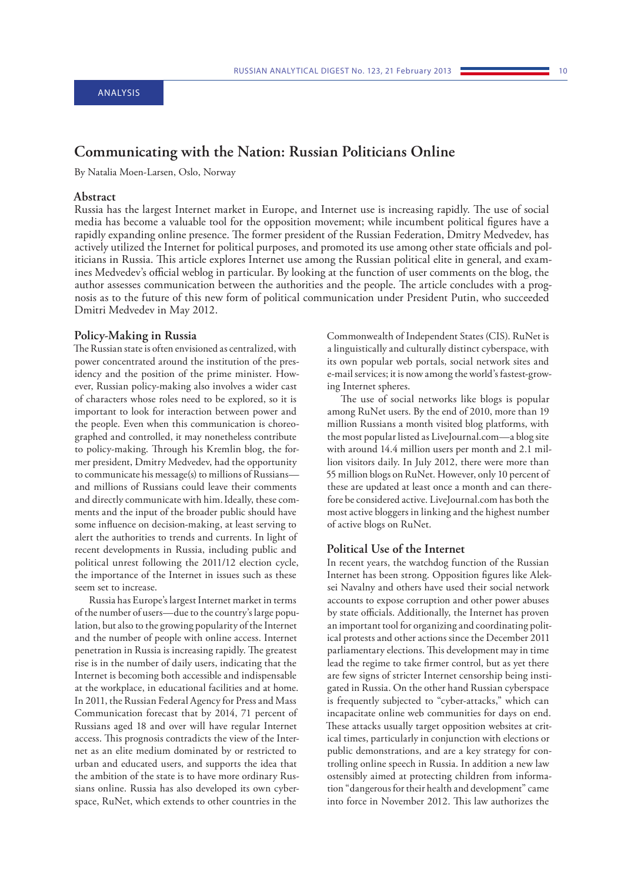# <span id="page-10-0"></span>**Communicating with the Nation: Russian Politicians Online**

By Natalia Moen-Larsen, Oslo, Norway

#### **Abstract**

Russia has the largest Internet market in Europe, and Internet use is increasing rapidly. The use of social media has become a valuable tool for the opposition movement; while incumbent political figures have a rapidly expanding online presence. The former president of the Russian Federation, Dmitry Medvedev, has actively utilized the Internet for political purposes, and promoted its use among other state officials and politicians in Russia. This article explores Internet use among the Russian political elite in general, and examines Medvedev's official weblog in particular. By looking at the function of user comments on the blog, the author assesses communication between the authorities and the people. The article concludes with a prognosis as to the future of this new form of political communication under President Putin, who succeeded Dmitri Medvedev in May 2012.

#### **Policy-Making in Russia**

The Russian state is often envisioned as centralized, with power concentrated around the institution of the presidency and the position of the prime minister. However, Russian policy-making also involves a wider cast of characters whose roles need to be explored, so it is important to look for interaction between power and the people. Even when this communication is choreographed and controlled, it may nonetheless contribute to policy-making. Through his Kremlin blog, the former president, Dmitry Medvedev, had the opportunity to communicate his message(s) to millions of Russians and millions of Russians could leave their comments and directly communicate with him.Ideally, these comments and the input of the broader public should have some influence on decision-making, at least serving to alert the authorities to trends and currents. In light of recent developments in Russia, including public and political unrest following the 2011/12 election cycle, the importance of the Internet in issues such as these seem set to increase.

Russia has Europe's largest Internet market in terms of the number of users—due to the country's large population, but also to the growing popularity of the Internet and the number of people with online access. Internet penetration in Russia is increasing rapidly. The greatest rise is in the number of daily users, indicating that the Internet is becoming both accessible and indispensable at the workplace, in educational facilities and at home. In 2011, the Russian Federal Agency for Press and Mass Communication forecast that by 2014, 71 percent of Russians aged 18 and over will have regular Internet access. This prognosis contradicts the view of the Internet as an elite medium dominated by or restricted to urban and educated users, and supports the idea that the ambition of the state is to have more ordinary Russians online. Russia has also developed its own cyberspace, RuNet, which extends to other countries in the

Commonwealth of Independent States (CIS). RuNet is a linguistically and culturally distinct cyberspace, with its own popular web portals, social network sites and e-mail services; it is now among the world's fastest-growing Internet spheres.

The use of social networks like blogs is popular among RuNet users. By the end of 2010, more than 19 million Russians a month visited blog platforms, with the most popular listed as LiveJournal.com—a blog site with around 14.4 million users per month and 2.1 million visitors daily. In July 2012, there were more than 55 million blogs on RuNet. However, only 10 percent of these are updated at least once a month and can therefore be considered active. LiveJournal.com has both the most active bloggers in linking and the highest number of active blogs on RuNet.

#### **Political Use of the Internet**

In recent years, the watchdog function of the Russian Internet has been strong. Opposition figures like Aleksei Navalny and others have used their social network accounts to expose corruption and other power abuses by state officials. Additionally, the Internet has proven an important tool for organizing and coordinating political protests and other actions since the December 2011 parliamentary elections. This development may in time lead the regime to take firmer control, but as yet there are few signs of stricter Internet censorship being instigated in Russia. On the other hand Russian cyberspace is frequently subjected to "cyber-attacks," which can incapacitate online web communities for days on end. These attacks usually target opposition websites at critical times, particularly in conjunction with elections or public demonstrations, and are a key strategy for controlling online speech in Russia. In addition a new law ostensibly aimed at protecting children from information "dangerous for their health and development" came into force in November 2012. This law authorizes the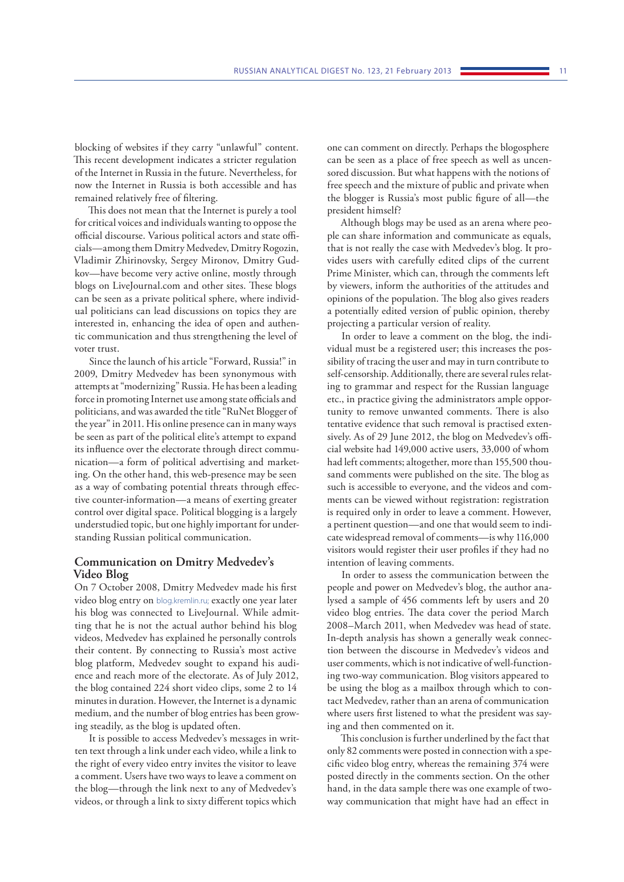blocking of websites if they carry "unlawful" content. This recent development indicates a stricter regulation of the Internet in Russia in the future. Nevertheless, for now the Internet in Russia is both accessible and has remained relatively free of filtering.

This does not mean that the Internet is purely a tool for critical voices and individuals wanting to oppose the official discourse. Various political actors and state officials—among them Dmitry Medvedev, Dmitry Rogozin, Vladimir Zhirinovsky, Sergey Mironov, Dmitry Gudkov—have become very active online, mostly through blogs on LiveJournal.com and other sites. These blogs can be seen as a private political sphere, where individual politicians can lead discussions on topics they are interested in, enhancing the idea of open and authentic communication and thus strengthening the level of voter trust.

Since the launch of his article "Forward, Russia!" in 2009, Dmitry Medvedev has been synonymous with attempts at "modernizing" Russia. He has been a leading force in promoting Internet use among state officials and politicians, and was awarded the title "RuNet Blogger of the year" in 2011. His online presence can in many ways be seen as part of the political elite's attempt to expand its influence over the electorate through direct communication—a form of political advertising and marketing. On the other hand, this web-presence may be seen as a way of combating potential threats through effective counter-information—a means of exerting greater control over digital space. Political blogging is a largely understudied topic, but one highly important for understanding Russian political communication.

#### **Communication on Dmitry Medvedev's Video Blog**

On 7 October 2008, Dmitry Medvedev made his first video blog entry on [blog.kremlin.ru;](http://www.kremlin.ru) exactly one year later his blog was connected to LiveJournal. While admitting that he is not the actual author behind his blog videos, Medvedev has explained he personally controls their content. By connecting to Russia's most active blog platform, Medvedev sought to expand his audience and reach more of the electorate. As of July 2012, the blog contained 224 short video clips, some 2 to 14 minutes in duration. However, the Internet is a dynamic medium, and the number of blog entries has been growing steadily, as the blog is updated often.

It is possible to access Medvedev's messages in written text through a link under each video, while a link to the right of every video entry invites the visitor to leave a comment. Users have two ways to leave a comment on the blog—through the link next to any of Medvedev's videos, or through a link to sixty different topics which

one can comment on directly. Perhaps the blogosphere can be seen as a place of free speech as well as uncensored discussion. But what happens with the notions of free speech and the mixture of public and private when the blogger is Russia's most public figure of all—the president himself?

Although blogs may be used as an arena where people can share information and communicate as equals, that is not really the case with Medvedev's blog. It provides users with carefully edited clips of the current Prime Minister, which can, through the comments left by viewers, inform the authorities of the attitudes and opinions of the population. The blog also gives readers a potentially edited version of public opinion, thereby projecting a particular version of reality.

In order to leave a comment on the blog, the individual must be a registered user; this increases the possibility of tracing the user and may in turn contribute to self-censorship. Additionally, there are several rules relating to grammar and respect for the Russian language etc., in practice giving the administrators ample opportunity to remove unwanted comments. There is also tentative evidence that such removal is practised extensively. As of 29 June 2012, the blog on Medvedev's official website had 149,000 active users, 33,000 of whom had left comments; altogether, more than 155,500 thousand comments were published on the site. The blog as such is accessible to everyone, and the videos and comments can be viewed without registration: registration is required only in order to leave a comment. However, a pertinent question—and one that would seem to indicate widespread removal of comments—is why 116,000 visitors would register their user profiles if they had no intention of leaving comments.

In order to assess the communication between the people and power on Medvedev's blog, the author analysed a sample of 456 comments left by users and 20 video blog entries. The data cover the period March 2008–March 2011, when Medvedev was head of state. In-depth analysis has shown a generally weak connection between the discourse in Medvedev's videos and user comments, which is not indicative of well-functioning two-way communication. Blog visitors appeared to be using the blog as a mailbox through which to contact Medvedev, rather than an arena of communication where users first listened to what the president was saying and then commented on it.

This conclusion is further underlined by the fact that only 82 comments were posted in connection with a specific video blog entry, whereas the remaining 374 were posted directly in the comments section. On the other hand, in the data sample there was one example of twoway communication that might have had an effect in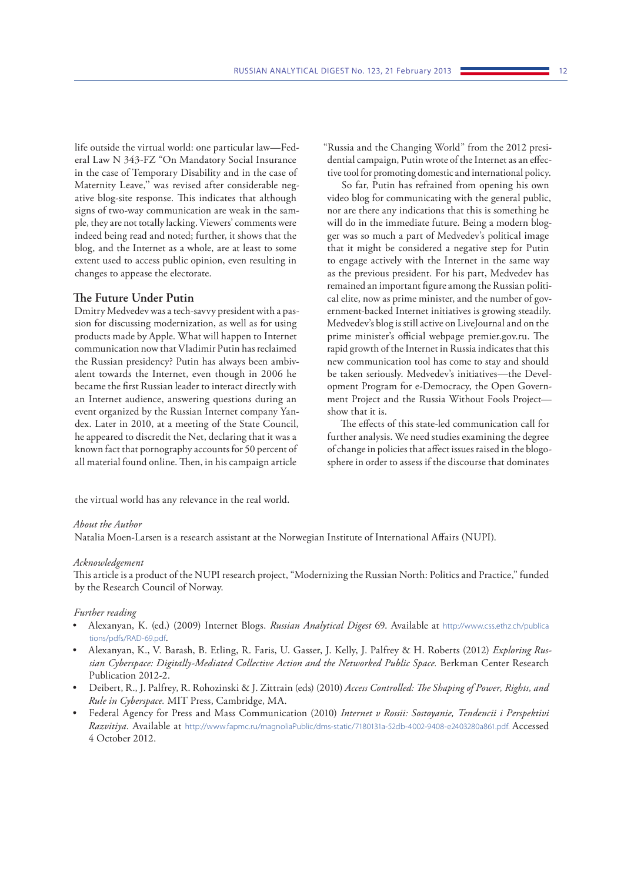life outside the virtual world: one particular law—Federal Law N 343-FZ "On Mandatory Social Insurance in the case of Temporary Disability and in the case of Maternity Leave,'' was revised after considerable negative blog-site response. This indicates that although signs of two-way communication are weak in the sample, they are not totally lacking. Viewers' comments were indeed being read and noted; further, it shows that the blog, and the Internet as a whole, are at least to some extent used to access public opinion, even resulting in changes to appease the electorate.

#### **The Future Under Putin**

Dmitry Medvedev was a tech-savvy president with a passion for discussing modernization, as well as for using products made by Apple. What will happen to Internet communication now that Vladimir Putin has reclaimed the Russian presidency? Putin has always been ambivalent towards the Internet, even though in 2006 he became the first Russian leader to interact directly with an Internet audience, answering questions during an event organized by the Russian Internet company Yandex. Later in 2010, at a meeting of the State Council, he appeared to discredit the Net, declaring that it was a known fact that pornography accounts for 50 percent of all material found online. Then, in his campaign article

"Russia and the Changing World" from the 2012 presidential campaign, Putin wrote of the Internet as an effective tool for promoting domestic and international policy.

So far, Putin has refrained from opening his own video blog for communicating with the general public, nor are there any indications that this is something he will do in the immediate future. Being a modern blogger was so much a part of Medvedev's political image that it might be considered a negative step for Putin to engage actively with the Internet in the same way as the previous president. For his part, Medvedev has remained an important figure among the Russian political elite, now as prime minister, and the number of government-backed Internet initiatives is growing steadily. Medvedev's blog is still active on LiveJournal and on the prime minister's official webpage premier.gov.ru. The rapid growth of the Internet in Russia indicates that this new communication tool has come to stay and should be taken seriously. Medvedev's initiatives—the Development Program for e-Democracy, the Open Government Project and the Russia Without Fools Project show that it is.

The effects of this state-led communication call for further analysis. We need studies examining the degree of change in policies that affect issues raised in the blogosphere in order to assess if the discourse that dominates

the virtual world has any relevance in the real world.

#### *About the Author*

Natalia Moen-Larsen is a research assistant at the Norwegian Institute of International Affairs (NUPI).

#### *Acknowledgement*

This article is a product of the NUPI research project, "Modernizing the Russian North: Politics and Practice," funded by the Research Council of Norway.

#### *Further reading*

- Alexanyan, K. (ed.) (2009) Internet Blogs. *Russian Analytical Digest* 69. Available at [http://www.css.ethz.ch/publica](http://www.css.ethz.ch/publications/pdfs/RAD-69.pdf)  [tions/pdfs/RAD-69.pdf](http://www.css.ethz.ch/publications/pdfs/RAD-69.pdf).
- Alexanyan, K., V. Barash, B. Etling, R. Faris, U. Gasser, J. Kelly, J. Palfrey & H. Roberts (2012) *Exploring Russian Cyberspace: Digitally-Mediated Collective Action and the Networked Public Space.* Berkman Center Research Publication 2012-2.
- Deibert, R., J. Palfrey, R. Rohozinski & J. Zittrain (eds) (2010) *Access Controlled: The Shaping of Power, Rights, and Rule in Cyberspace.* MIT Press, Cambridge, MA.
- Federal Agency for Press and Mass Communication (2010) *Internet v Rossii: Sostoyanie, Tendencii i Perspektivi Razvitiya*. Available at h[ttp://www.fapmc.ru/magnoliaPublic/dms-static/7180131a-52db-4002-9408-e2403280a861.pdf.](http://www.fapmc.ru/magnoliaPublic/dms-static/7180131a-52db-4002-9408-e2403280a861.pdf. Accessed 4 October 2012) Accessed [4 October 2012.](http://www.fapmc.ru/magnoliaPublic/dms-static/7180131a-52db-4002-9408-e2403280a861.pdf. Accessed 4 October 2012)